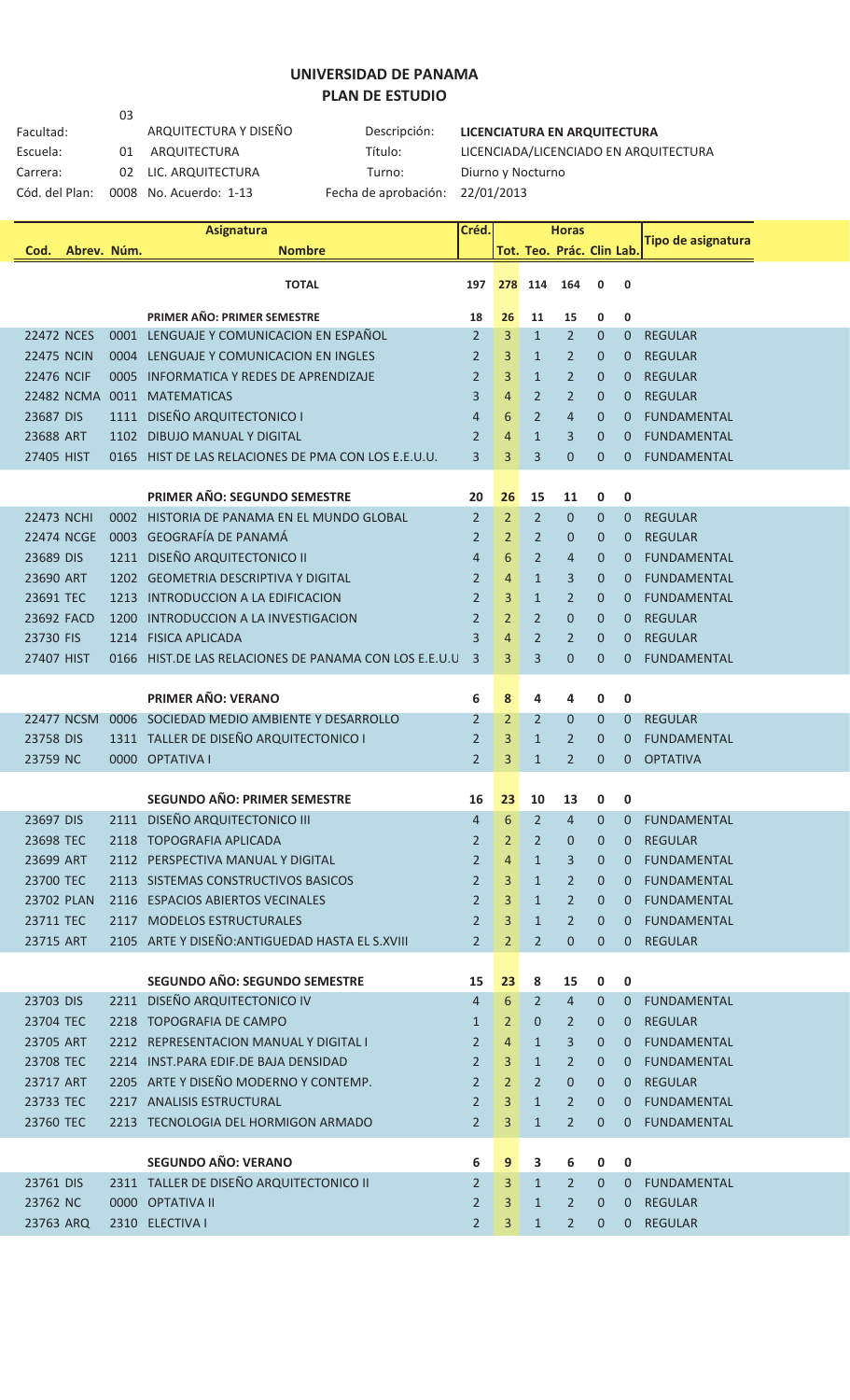## **UNIVERSIDAD DE PANAMA PLAN DE ESTUDIO**

Facultad: ARQUITECTURA T<br>Escuela: 01 ARQUITECTURA 03<br>ARQUITECTURA Y DISEÑO Carrera: 02 LIC. ARQUITECTURA Cód. del Plan: 0008 No. Acuerdo: 1-13 Fecha de aprobación: 22/01/2013

**Descripción: LICENCIATURA EN ARQUITECTURA** Título: LICENCIADA/LICENCIADO EN ARQUITECTURA<br>Turno: Diurno y Nocturno

|                   |                   |      | <b>Asignatura</b>                                     | Créd.          |                |                | <b>Horas</b>              |              |                |                           |
|-------------------|-------------------|------|-------------------------------------------------------|----------------|----------------|----------------|---------------------------|--------------|----------------|---------------------------|
| Cod.              | Abrev. Núm.       |      | <b>Nombre</b>                                         |                |                |                | Tot. Teo. Prác. Clin Lab. |              |                | <b>Tipo de asignatura</b> |
|                   |                   |      | <b>TOTAL</b>                                          | 197            | 278            | 114            | 164                       | 0            | 0              |                           |
|                   |                   |      |                                                       |                |                |                |                           |              |                |                           |
|                   |                   |      | PRIMER AÑO: PRIMER SEMESTRE                           | 18             | 26             | 11             | 15                        | 0            | 0              |                           |
| <b>22472 NCES</b> |                   |      | 0001 LENGUAJE Y COMUNICACION EN ESPAÑOL               | $\overline{2}$ | 3              | $\mathbf{1}$   | $\overline{2}$            | $\mathbf{0}$ | $\mathbf{0}$   | <b>REGULAR</b>            |
| <b>22475 NCIN</b> |                   |      | 0004 LENGUAJE Y COMUNICACION EN INGLES                | 2              | 3              | $\mathbf{1}$   | $\overline{2}$            | 0            | 0              | <b>REGULAR</b>            |
| <b>22476 NCIF</b> |                   | 0005 | <b>INFORMATICA Y REDES DE APRENDIZAJE</b>             | $\overline{2}$ | 3              | $\mathbf{1}$   | 2                         | $\mathbf 0$  | 0              | <b>REGULAR</b>            |
|                   | 22482 NCMA        |      | 0011 MATEMATICAS                                      | 3              | 4              | 2              | 2                         | $\mathbf 0$  | $\mathbf{0}$   | <b>REGULAR</b>            |
| 23687 DIS         |                   | 1111 | <b>DISEÑO ARQUITECTONICO I</b>                        | 4              | 6              | 2              | $\overline{4}$            | $\mathbf 0$  | $\mathbf{0}$   | <b>FUNDAMENTAL</b>        |
| 23688 ART         |                   |      | 1102 DIBUJO MANUAL Y DIGITAL                          | $\overline{2}$ | 4              | $\mathbf{1}$   | 3                         | $\mathbf 0$  | 0              | <b>FUNDAMENTAL</b>        |
| 27405 HIST        |                   |      | 0165 HIST DE LAS RELACIONES DE PMA CON LOS E.E.U.U.   | 3              | 3              | 3              | $\mathbf 0$               | $\mathbf 0$  | 0              | <b>FUNDAMENTAL</b>        |
|                   |                   |      |                                                       |                |                |                |                           |              |                |                           |
|                   |                   |      | PRIMER AÑO: SEGUNDO SEMESTRE                          | 20             | 26             | 15             | 11                        | 0            | 0              |                           |
| <b>22473 NCHI</b> |                   |      | 0002 HISTORIA DE PANAMA EN EL MUNDO GLOBAL            | $\overline{2}$ | $\overline{2}$ | 2              | $\mathbf{0}$              | $\mathbf 0$  | $\mathbf{0}$   | <b>REGULAR</b>            |
|                   | <b>22474 NCGE</b> |      | 0003 GEOGRAFÍA DE PANAMÁ                              | 2              | 2              | 2              | 0                         | $\mathbf 0$  | 0              | <b>REGULAR</b>            |
| 23689 DIS         |                   | 1211 | <b>DISEÑO ARQUITECTONICO II</b>                       | $\overline{4}$ | 6              | 2              | 4                         | $\mathbf 0$  | 0              | <b>FUNDAMENTAL</b>        |
| 23690 ART         |                   |      | 1202 GEOMETRIA DESCRIPTIVA Y DIGITAL                  | 2              | 4              | $\mathbf{1}$   | 3                         | $\mathbf 0$  | 0              | <b>FUNDAMENTAL</b>        |
| 23691 TEC         |                   | 1213 | INTRODUCCION A LA EDIFICACION                         | $\overline{2}$ | 3              | $\mathbf{1}$   | $\overline{2}$            | $\mathbf 0$  | 0              | <b>FUNDAMENTAL</b>        |
| 23692 FACD        |                   | 1200 | INTRODUCCION A LA INVESTIGACION                       | 2              | 2              | 2              | $\mathbf 0$               | $\mathbf 0$  | $\mathbf 0$    | <b>REGULAR</b>            |
| 23730 FIS         |                   | 1214 | <b>FISICA APLICADA</b>                                | 3              | 4              | 2              | $\overline{2}$            | 0            | 0              | <b>REGULAR</b>            |
| 27407 HIST        |                   |      | 0166 HIST.DE LAS RELACIONES DE PANAMA CON LOS E.E.U.U | 3              | 3              | 3              | $\mathbf{0}$              | $\mathbf{0}$ | 0              | <b>FUNDAMENTAL</b>        |
|                   |                   |      | <b>PRIMER AÑO: VERANO</b>                             | 6              | 8              | 4              | 4                         | 0            | 0              |                           |
|                   | <b>22477 NCSM</b> |      | 0006 SOCIEDAD MEDIO AMBIENTE Y DESARROLLO             | $\overline{2}$ | 2              | 2              | 0                         | $\mathbf 0$  | 0              | <b>REGULAR</b>            |
| 23758 DIS         |                   |      | 1311 TALLER DE DISEÑO ARQUITECTONICO I                | 2              | 3              | $\mathbf{1}$   | $\overline{2}$            | 0            | 0              | <b>FUNDAMENTAL</b>        |
| 23759 NC          |                   |      | 0000 OPTATIVA I                                       | 2              | 3              | $\mathbf{1}$   | 2                         | $\mathbf 0$  | 0              | <b>OPTATIVA</b>           |
|                   |                   |      |                                                       |                |                |                |                           |              |                |                           |
|                   |                   |      | <b>SEGUNDO AÑO: PRIMER SEMESTRE</b>                   | 16             | 23             | 10             | 13                        | 0            | 0              |                           |
| 23697 DIS         |                   |      | 2111 DISEÑO ARQUITECTONICO III                        | $\overline{4}$ | 6              | $\overline{2}$ | $\overline{4}$            | $\mathbf{0}$ | $\Omega$       | <b>FUNDAMENTAL</b>        |
| 23698 TEC         |                   |      | 2118 TOPOGRAFIA APLICADA                              | 2              | 2              | 2              | $\boldsymbol{0}$          | 0            | 0              | <b>REGULAR</b>            |
| 23699 ART         |                   |      | 2112 PERSPECTIVA MANUAL Y DIGITAL                     | $\overline{2}$ | 4              | $\mathbf{1}$   | 3                         | $\mathbf{0}$ | $\mathbf{0}$   | FUNDAMENTAL               |
| 23700 TEC         |                   |      | 2113 SISTEMAS CONSTRUCTIVOS BASICOS                   | $\overline{2}$ | 3              | $\mathbf{1}$   | 2                         | 0            | 0              | <b>FUNDAMENTAL</b>        |
| <b>23702 PLAN</b> |                   |      | 2116 ESPACIOS ABIERTOS VECINALES                      | $\overline{2}$ | 3              | $\mathbf{1}$   | $\overline{2}$            | $\mathbf{0}$ | 0              | <b>FUNDAMENTAL</b>        |
| 23711 TEC         |                   |      | 2117 MODELOS ESTRUCTURALES                            | $\overline{2}$ | 3              | $\mathbf{1}$   | 2                         | $\mathbf{0}$ | $\Omega$       | <b>FUNDAMENTAL</b>        |
| 23715 ART         |                   |      | 2105 ARTE Y DISEÑO: ANTIGUEDAD HASTA EL S.XVIII       | $\overline{2}$ | 2              | $\overline{2}$ | $\mathbf{0}$              | $\mathbf{0}$ | $0-1$          | <b>REGULAR</b>            |
|                   |                   |      |                                                       |                |                |                |                           |              |                |                           |
|                   |                   |      | <b>SEGUNDO AÑO: SEGUNDO SEMESTRE</b>                  | 15             | 23             | 8              | 15                        | 0            | 0              |                           |
| 23703 DIS         |                   |      | 2211 DISEÑO ARQUITECTONICO IV                         | $\overline{4}$ | 6              | $\overline{2}$ | $\overline{4}$            | $\mathbf{0}$ | $\mathbf{0}$   | <b>FUNDAMENTAL</b>        |
| 23704 TEC         |                   |      | 2218 TOPOGRAFIA DE CAMPO                              | $\mathbf{1}$   | 2              | 0              | 2                         | $\mathbf 0$  | $\mathbf{0}$   | <b>REGULAR</b>            |
| 23705 ART         |                   |      | 2212 REPRESENTACION MANUAL Y DIGITAL I                | $\overline{2}$ | $\overline{4}$ | $\mathbf{1}$   | 3                         | $\mathbf{0}$ | $0 -$          | <b>FUNDAMENTAL</b>        |
| 23708 TEC         |                   |      | 2214 INST.PARA EDIF.DE BAJA DENSIDAD                  | $\overline{2}$ | 3              | $\mathbf{1}$   | 2                         | $\mathbf 0$  | $\overline{0}$ | FUNDAMENTAL               |
| 23717 ART         |                   |      | 2205 ARTE Y DISEÑO MODERNO Y CONTEMP.                 | $\overline{2}$ | 2              | $\overline{2}$ | $\mathbf{0}$              | $\mathbf 0$  | 0              | <b>REGULAR</b>            |
| 23733 TEC         |                   |      | 2217 ANALISIS ESTRUCTURAL                             | $\overline{2}$ | 3              | $\mathbf{1}$   | 2                         | $\mathbf{0}$ | $\mathbf{0}$   | <b>FUNDAMENTAL</b>        |
| 23760 TEC         |                   |      | 2213 TECNOLOGIA DEL HORMIGON ARMADO                   | $\overline{2}$ | 3              | $\mathbf{1}$   | $\overline{2}$            | $\mathbf 0$  | 0              | <b>FUNDAMENTAL</b>        |
|                   |                   |      |                                                       |                |                |                |                           |              |                |                           |
|                   |                   |      | <b>SEGUNDO AÑO: VERANO</b>                            | 6              | 9              | 3              | 6                         | 0            | $\mathbf 0$    |                           |
| 23761 DIS         |                   |      | 2311 TALLER DE DISEÑO ARQUITECTONICO II               | $\overline{2}$ | 3              | $\mathbf{1}$   | 2                         | $\mathbf{0}$ | $\overline{0}$ | <b>FUNDAMENTAL</b>        |
| 23762 NC          |                   |      | 0000 OPTATIVA II                                      | $\overline{2}$ | 3              | $\mathbf{1}$   | 2                         | $\mathbf 0$  | $\mathbf{0}$   | <b>REGULAR</b>            |
| 23763 ARQ         |                   |      | 2310 ELECTIVA I                                       | $\overline{2}$ | 3              | $\mathbf{1}$   | $\overline{2}$            | $\mathbf{0}$ | 0              | <b>REGULAR</b>            |